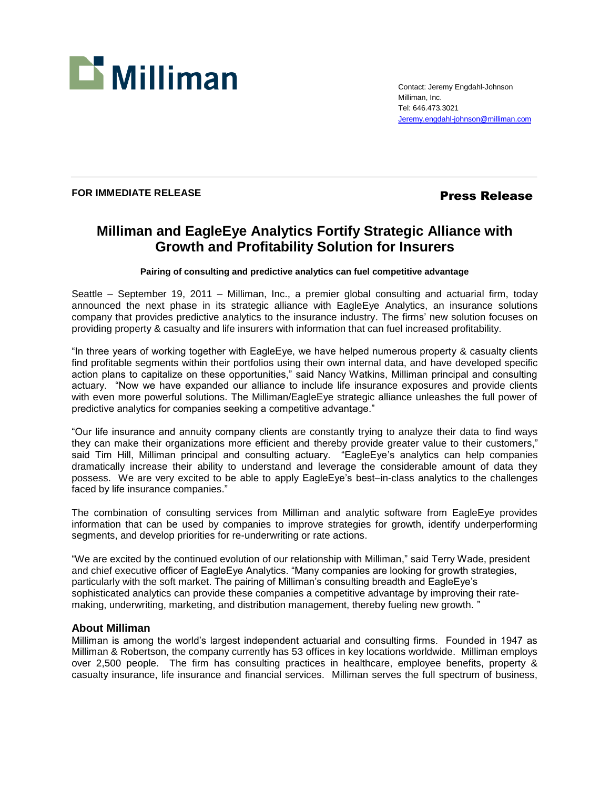

Contact: Jeremy Engdahl-Johnson Milliman, Inc. Tel: 646.473.3021 [Jeremy.engdahl-johnson@milliman.com](mailto:Jeremy.engdahl-johnson@milliman.com)

## FOR IMMEDIATE RELEASE **Press Release**

# **Milliman and EagleEye Analytics Fortify Strategic Alliance with Growth and Profitability Solution for Insurers**

#### **Pairing of consulting and predictive analytics can fuel competitive advantage**

Seattle – September 19, 2011 – Milliman, Inc., a premier global consulting and actuarial firm, today announced the next phase in its strategic alliance with EagleEye Analytics, an insurance solutions company that provides predictive analytics to the insurance industry. The firms' new solution focuses on providing property & casualty and life insurers with information that can fuel increased profitability.

"In three years of working together with EagleEye, we have helped numerous property & casualty clients find profitable segments within their portfolios using their own internal data, and have developed specific action plans to capitalize on these opportunities," said Nancy Watkins, Milliman principal and consulting actuary. "Now we have expanded our alliance to include life insurance exposures and provide clients with even more powerful solutions. The Milliman/EagleEye strategic alliance unleashes the full power of predictive analytics for companies seeking a competitive advantage."

"Our life insurance and annuity company clients are constantly trying to analyze their data to find ways they can make their organizations more efficient and thereby provide greater value to their customers," said Tim Hill, Milliman principal and consulting actuary. "EagleEye's analytics can help companies dramatically increase their ability to understand and leverage the considerable amount of data they possess. We are very excited to be able to apply EagleEye's best–in-class analytics to the challenges faced by life insurance companies."

The combination of consulting services from Milliman and analytic software from EagleEye provides information that can be used by companies to improve strategies for growth, identify underperforming segments, and develop priorities for re-underwriting or rate actions.

"We are excited by the continued evolution of our relationship with Milliman," said Terry Wade, president and chief executive officer of EagleEye Analytics. "Many companies are looking for growth strategies, particularly with the soft market. The pairing of Milliman's consulting breadth and EagleEye's sophisticated analytics can provide these companies a competitive advantage by improving their ratemaking, underwriting, marketing, and distribution management, thereby fueling new growth. "

#### **About Milliman**

Milliman is among the world's largest independent actuarial and consulting firms. Founded in 1947 as Milliman & Robertson, the company currently has 53 offices in key locations worldwide. Milliman employs over 2,500 people. The firm has consulting practices in healthcare, employee benefits, property & casualty insurance, life insurance and financial services. Milliman serves the full spectrum of business,